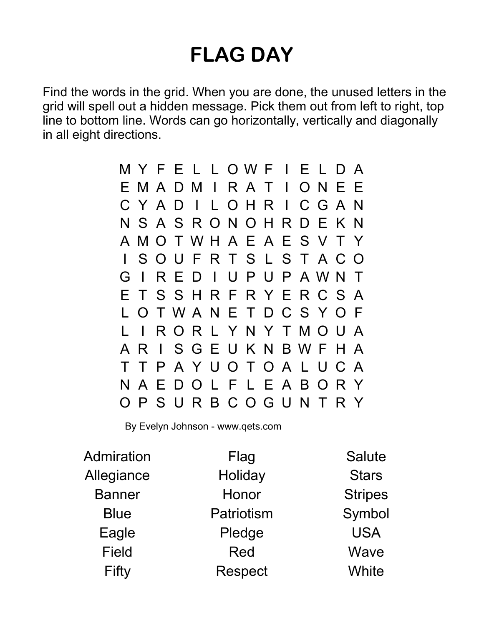## FLAG DAY

Find the words in the grid. When you are done, the unused letters in the grid will spell out a hidden message. Pick them out from left to right, top line to bottom line. Words can go horizontally, vertically and diagonally in all eight directions.

> M Y F E L L O W F I E L D A E M A D M I R A T I O N E E C Y A D I L O H R I C G A N N S A S R O N O H R D E K N A M O T W H A E A E S V T Y I S O U F R T S L S T A C O G I R E D I U P U P A W N T E T S S H R F R Y E R C S A L O T W A N E T D C S Y O F L I R O R L Y N Y T M O U A A R I S G E U K N B W F H A T T P A Y U O T O A L U C A N A E D O L F L E A B O R Y O P S U R B C O G U N T R Y

By Evelyn Johnson - www.qets.com

| Admiration    | Flag       | <b>Salute</b>  |
|---------------|------------|----------------|
| Allegiance    | Holiday    | <b>Stars</b>   |
| <b>Banner</b> | Honor      | <b>Stripes</b> |
| <b>Blue</b>   | Patriotism | Symbol         |
| Eagle         | Pledge     | <b>USA</b>     |
| <b>Field</b>  | Red        | Wave           |
| Fifty         | Respect    | White          |